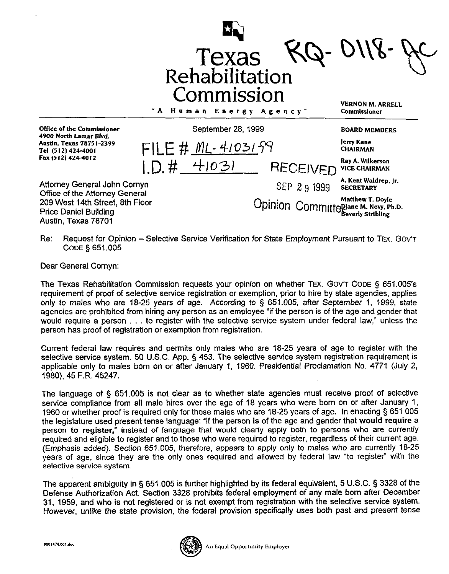

Re: Request for Opinion - Selective Service Verification for State Employment Pursuant to TEX. GOV'T **CODE § 651.005** 

Dear General Cornyn:

The Texas Rehabilitation Commission requests your opinion on whether TEX. GOV'T CODE § 651.005's requirement of proof of selective service registration or exemption, prior to hire by state agencies, applies only to males who are 18-25 years of age. According to § 651.005, after September 1, 1999, state agencies are prohibited from hiring any person as an employee "if the person is of the age and gender that would require a person  $\ldots$  to register with the selective service system under federal law," unless the person has proof of registration or exemption from registration.

Current federal law requires and permits only males who are 18-25 years of age to register with the selective service system. 50 U.S.C. App. § 453. The selective service system registration requirement is applicable only to males born on or after January 1, 1960. Presidential Proclamation No. 4771 (July 2, 1980), 45 F.R. 45247.

The language of § 651.005 is not clear as to whether state agencies must receive proof of selective service compliance from all male hires over the age of 18 years who were born on or after January 1. 1960 or whether proof is required only for those males who are 18-25 years of age. In enacting § 651.005 the legislature used present tense language: "if the person is of the age and gender that would require a person to register," instead of language that would clearly apply both to persons who are currently required and eligible to register and to those who were required to register, regardless of their current age. (Emphasis added). Section 651.005, therefore, appears to apply only to males who are currently 18-25 years of age, since they are the only ones required and allowed by federal law "to register" with the selective service system.

The apparent ambiguity in § 651.005 is further highlighted by its federal equivalent, 5 U.S.C. § 3328 of the Defense Authorization Act. Section 3328 prohibits federal employment of any male born after December 31, 1959, and who is not registered or is not exempt from registration with the selective service system. However, unlike the state provision, the federal provision specifically uses both past and present tense